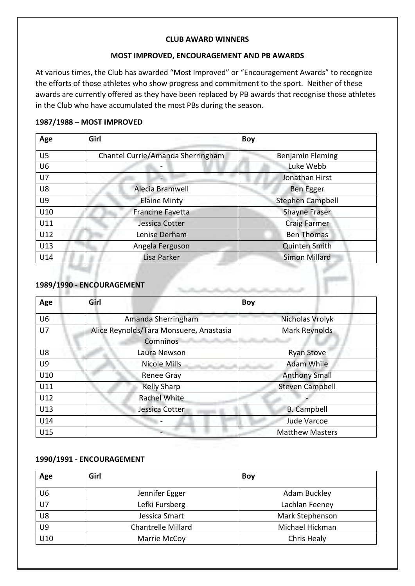#### **CLUB AWARD WINNERS**

#### **MOST IMPROVED, ENCOURAGEMENT AND PB AWARDS**

At various times, the Club has awarded "Most Improved" or "Encouragement Awards" to recognize the efforts of those athletes who show progress and commitment to the sport. Neither of these awards are currently offered as they have been replaced by PB awards that recognise those athletes in the Club who have accumulated the most PBs during the season.

### **1987/1988** – **MOST IMPROVED**

| Age            | Girl                              | <b>Boy</b>              |
|----------------|-----------------------------------|-------------------------|
| U5             | Chantel Currie/Amanda Sherringham | Benjamin Fleming        |
| U <sub>6</sub> |                                   | Luke Webb               |
| U7             |                                   | Jonathan Hirst          |
| U8             | Alecia Bramwell                   | <b>Ben Egger</b>        |
| U9             | <b>Elaine Minty</b>               | <b>Stephen Campbell</b> |
| U10            | <b>Francine Favetta</b>           | <b>Shayne Fraser</b>    |
| U11            | Jessica Cotter                    | <b>Craig Farmer</b>     |
| U12            | Lenise Derham                     | <b>Ben Thomas</b>       |
| U13            | Angela Ferguson                   | <b>Quinten Smith</b>    |
| U14            | Lisa Parker                       | <b>Simon Millard</b>    |

### **1989/1990 - ENCOURAGEMENT**

| Age            | Girl                                                | <b>Boy</b>             |
|----------------|-----------------------------------------------------|------------------------|
| U <sub>6</sub> | Amanda Sherringham                                  | Nicholas Vrolyk        |
| U7             | Alice Reynolds/Tara Monsuere, Anastasia<br>Comninos | Mark Reynolds          |
| U8             | Laura Newson                                        | <b>Ryan Stove</b>      |
| U9             | <b>Nicole Mills</b>                                 | <b>Adam While</b>      |
| U10            | <b>Renee Gray</b>                                   | <b>Anthony Small</b>   |
| U11            | <b>Kelly Sharp</b>                                  | <b>Steven Campbell</b> |
| U12            | <b>Rachel White</b>                                 |                        |
| U13            | Jessica Cotter                                      | <b>B.</b> Campbell     |
| U14            |                                                     | Jude Varcoe            |
| U15            |                                                     | <b>Matthew Masters</b> |

### **1990/1991 - ENCOURAGEMENT**

| Age | Girl                      | <b>Boy</b>      |
|-----|---------------------------|-----------------|
| U6  | Jennifer Egger            | Adam Buckley    |
| U7  | Lefki Fursberg            | Lachlan Feeney  |
| U8  | Jessica Smart             | Mark Stephenson |
| U9  | <b>Chantrelle Millard</b> | Michael Hickman |
| U10 | Marrie McCoy              | Chris Healy     |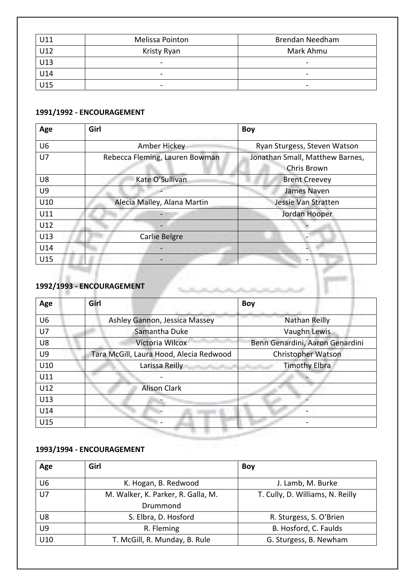| U11 | Melissa Pointon          | <b>Brendan Needham</b>   |
|-----|--------------------------|--------------------------|
| U12 | Kristy Ryan              | Mark Ahmu                |
| U13 | ۰                        | $\overline{\phantom{0}}$ |
| U14 | $\overline{\phantom{a}}$ | $\overline{\phantom{0}}$ |
| U15 | $\overline{\phantom{a}}$ | $\overline{\phantom{0}}$ |

# **1991/1992 - ENCOURAGEMENT**

| Age            | Girl                           | <b>Boy</b>                      |
|----------------|--------------------------------|---------------------------------|
| U <sub>6</sub> | Amber Hickey                   | Ryan Sturgess, Steven Watson    |
| U7             | Rebecca Fleming, Lauren Bowman | Jonathan Small, Matthew Barnes, |
|                |                                | Chris Brown                     |
| U8             | Kate O'Sullivan                | <b>Brent Creevey</b>            |
| U9             |                                | James Naven                     |
| U10            | Alecia Malley, Alana Martin    | Jessie Van Stratten             |
| U11            |                                | Jordan Hooper                   |
| U12            |                                |                                 |
| U13            | Carlie Belgre                  |                                 |
| U14            |                                |                                 |
| U15            |                                | -                               |

## **1992/1993 - ENCOURAGEMENT**

| Age            | Girl                                    | <b>Boy</b>                      |
|----------------|-----------------------------------------|---------------------------------|
| U <sub>6</sub> | Ashley Gannon, Jessica Massey           | Nathan Reilly                   |
| U7             | Samantha Duke                           | Vaughn Lewis                    |
| U8             | Victoria Wilcox                         | Benn Genardini, Aaron Genardini |
| U9             | Tara McGill, Laura Hood, Alecia Redwood | Christopher Watson              |
| U10            | Larissa Reilly                          | <b>Timothy Elbra</b>            |
| U11            |                                         |                                 |
| U12            | <b>Alison Clark</b>                     |                                 |
| U13            |                                         |                                 |
| U14            |                                         |                                 |
| U15            |                                         |                                 |

# **1993/1994 - ENCOURAGEMENT**

| Age            | Girl                               | <b>Boy</b>                       |
|----------------|------------------------------------|----------------------------------|
| U6             | K. Hogan, B. Redwood               | J. Lamb, M. Burke                |
| U <sub>7</sub> | M. Walker, K. Parker, R. Galla, M. | T. Cully, D. Williams, N. Reilly |
|                | Drummond                           |                                  |
| U8             | S. Elbra, D. Hosford               | R. Sturgess, S. O'Brien          |
| U9             | R. Fleming                         | B. Hosford, C. Faulds            |
| U10            | T. McGill, R. Munday, B. Rule      | G. Sturgess, B. Newham           |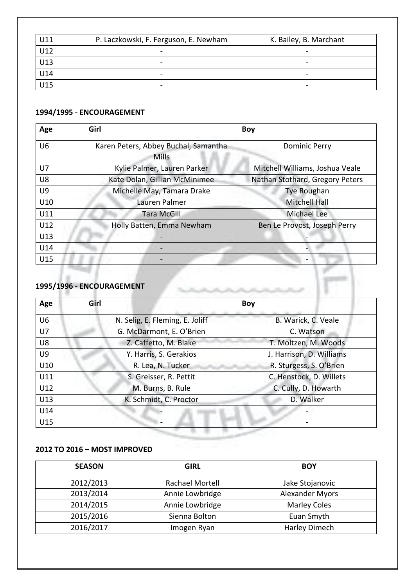| U11 | P. Laczkowski, F. Ferguson, E. Newham | K. Bailey, B. Marchant   |
|-----|---------------------------------------|--------------------------|
| U12 |                                       |                          |
| U13 | -                                     | $\qquad \qquad$          |
| U14 |                                       | $\overline{\phantom{a}}$ |
| U15 | -                                     | $\overline{\phantom{0}}$ |

#### **1994/1995 - ENCOURAGEMENT**

| Age            | Girl                                                 | Boy                             |
|----------------|------------------------------------------------------|---------------------------------|
| U <sub>6</sub> | Karen Peters, Abbey Buchal, Samantha<br><b>Mills</b> | <b>Dominic Perry</b>            |
| U7             | Kylie Palmer, Lauren Parker                          | Mitchell Williams, Joshua Veale |
| U8             | Kate Dolan, Gillian McMinimee                        | Nathan Stothard, Gregory Peters |
| U9             | Michelle May, Tamara Drake                           | Tye Roughan                     |
| U10            | Lauren Palmer                                        | <b>Mitchell Hall</b>            |
| U11            | <b>Tara McGill</b>                                   | <b>Michael Lee</b>              |
| U12            | Holly Batten, Emma Newham                            | Ben Le Provost, Joseph Perry    |
| U13            |                                                      |                                 |
| U14            |                                                      |                                 |
| U15            |                                                      |                                 |

### **1995/1996 - ENCOURAGEMENT**

| Age            | Girl                            | Boy                      |
|----------------|---------------------------------|--------------------------|
| U <sub>6</sub> | N. Selig, E. Fleming, E. Joliff | B. Warick, C. Veale      |
| U7             | G. McDarmont, E. O'Brien        | C. Watson                |
| U8             | Z. Caffetto, M. Blake           | T. Moltzen, M. Woods     |
| U9             | Y. Harris, S. Gerakios          | J. Harrison, D. Williams |
| U10            | R. Lea, N. Tucker               | R. Sturgess, S. O'Brien  |
| U11            | S. Greisser, R. Pettit          | C. Henstock, D. Willets  |
| U12            | M. Burns, B. Rule               | C. Cully, D. Howarth     |
| U13            | K. Schmidt, C. Proctor          | D. Walker                |
| U14            |                                 |                          |
| U15            |                                 |                          |

## **2012 TO 2016 – MOST IMPROVED**

| <b>SEASON</b> | <b>GIRL</b>     | <b>BOY</b>             |
|---------------|-----------------|------------------------|
| 2012/2013     | Rachael Mortell | Jake Stojanovic        |
| 2013/2014     | Annie Lowbridge | <b>Alexander Myors</b> |
| 2014/2015     | Annie Lowbridge | <b>Marley Coles</b>    |
| 2015/2016     | Sienna Bolton   | Euan Smyth             |
| 2016/2017     | Imogen Ryan     | Harley Dimech          |